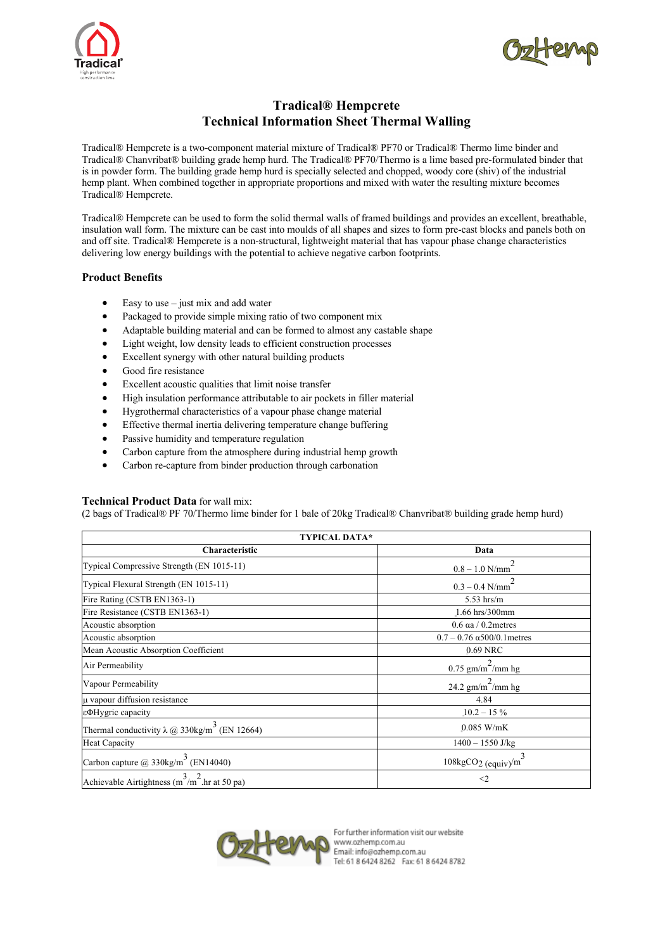



# **Tradical® Hempcrete Technical Information Sheet Thermal Walling**

Tradical® Hempcrete is a two-component material mixture of Tradical® PF70 or Tradical® Thermo lime binder and Tradical® Chanvribat® building grade hemp hurd. The Tradical® PF70/Thermo is a lime based pre-formulated binder that is in powder form. The building grade hemp hurd is specially selected and chopped, woody core (shiv) of the industrial hemp plant. When combined together in appropriate proportions and mixed with water the resulting mixture becomes Tradical® Hempcrete.

Tradical® Hempcrete can be used to form the solid thermal walls of framed buildings and provides an excellent, breathable, insulation wall form. The mixture can be cast into moulds of all shapes and sizes to form pre-cast blocks and panels both on and off site. Tradical® Hempcrete is a non-structural, lightweight material that has vapour phase change characteristics delivering low energy buildings with the potential to achieve negative carbon footprints.

# **Product Benefits**

- Easy to use  $-$  just mix and add water
- Packaged to provide simple mixing ratio of two component mix
- Adaptable building material and can be formed to almost any castable shape
- Light weight, low density leads to efficient construction processes
- Excellent synergy with other natural building products
- Good fire resistance
- Excellent acoustic qualities that limit noise transfer
- High insulation performance attributable to air pockets in filler material
- Hygrothermal characteristics of a vapour phase change material
- Effective thermal inertia delivering temperature change buffering
- Passive humidity and temperature regulation
- Carbon capture from the atmosphere during industrial hemp growth
- Carbon re-capture from binder production through carbonation

### **Technical Product Data** for wall mix:

(2 bags of Tradical® PF 70/Thermo lime binder for 1 bale of 20kg Tradical® Chanvribat® building grade hemp hurd)

| <b>TYPICAL DATA*</b>                                                  |                                        |  |  |
|-----------------------------------------------------------------------|----------------------------------------|--|--|
| Characteristic                                                        | Data                                   |  |  |
| Typical Compressive Strength (EN 1015-11)                             | $0.8 - 1.0$ N/mm                       |  |  |
| Typical Flexural Strength (EN 1015-11)                                | $0.3 - 0.4$ N/mm                       |  |  |
| Fire Rating (CSTB EN1363-1)                                           | $5.53$ hrs/m                           |  |  |
| Fire Resistance (CSTB EN1363-1)                                       | 1.66 hrs/300mm                         |  |  |
| Acoustic absorption                                                   | $0.6$ aa $/ 0.2$ metres                |  |  |
| Acoustic absorption                                                   | $0.7 - 0.76 \alpha 500/0.1$ metres     |  |  |
| Mean Acoustic Absorption Coefficient                                  | 0.69 NRC                               |  |  |
| Air Permeability                                                      | 0.75 gm/m <sup>2</sup> /mm hg          |  |  |
| Vapour Permeability                                                   | 24.2 gm/m <sup>2</sup> /mm hg          |  |  |
| µ vapour diffusion resistance                                         | 4.84                                   |  |  |
| εΦHygric capacity                                                     | $10.2 - 15\%$                          |  |  |
| Thermal conductivity $\lambda \omega$ 330kg/m <sup>3</sup> (EN 12664) | $0.085$ W/mK                           |  |  |
| Heat Capacity                                                         | $1400 - 1550$ J/kg                     |  |  |
| Carbon capture $@330\text{kg/m}^3$ (EN14040)                          | $108\text{kgCO}_2$ (equiv) $\text{/m}$ |  |  |
| Achievable Airtightness (m <sup>3</sup> /m <sup>2</sup> .hr at 50 pa) | $\leq$ 2                               |  |  |